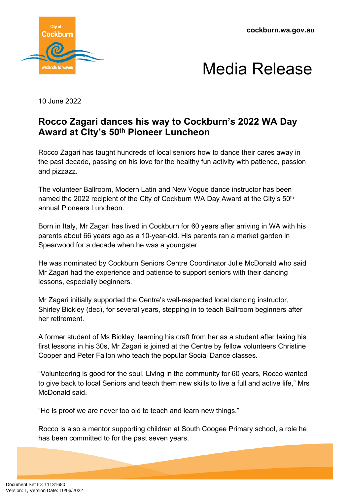



10 June 2022

## **Rocco Zagari dances his way to Cockburn's 2022 WA Day Award at City's 50th Pioneer Luncheon**

Rocco Zagari has taught hundreds of local seniors how to dance their cares away in the past decade, passing on his love for the healthy fun activity with patience, passion and pizzazz.

The volunteer Ballroom, Modern Latin and New Vogue dance instructor has been named the 2022 recipient of the City of Cockburn WA Day Award at the City's 50<sup>th</sup> annual Pioneers Luncheon.

Born in Italy, Mr Zagari has lived in Cockburn for 60 years after arriving in WA with his parents about 66 years ago as a 10-year-old. His parents ran a market garden in Spearwood for a decade when he was a youngster.

He was nominated by Cockburn Seniors Centre Coordinator Julie McDonald who said Mr Zagari had the experience and patience to support seniors with their dancing lessons, especially beginners.

Mr Zagari initially supported the Centre's well-respected local dancing instructor, Shirley Bickley (dec), for several years, stepping in to teach Ballroom beginners after her retirement.

A former student of Ms Bickley, learning his craft from her as a student after taking his first lessons in his 30s, Mr Zagari is joined at the Centre by fellow volunteers Christine Cooper and Peter Fallon who teach the popular Social Dance classes.

"Volunteering is good for the soul. Living in the community for 60 years, Rocco wanted to give back to local Seniors and teach them new skills to live a full and active life," Mrs McDonald said.

"He is proof we are never too old to teach and learn new things."

Rocco is also a mentor supporting children at South Coogee Primary school, a role he has been committed to for the past seven years.